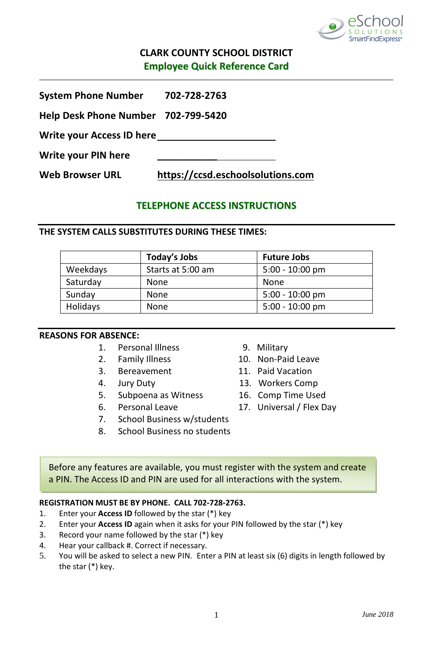

# **CLARK COUNTY SCHOOL DISTRICT Employee Quick Reference Card**

| <b>System Phone Number</b>          | 702-728-2763                      |  |
|-------------------------------------|-----------------------------------|--|
| Help Desk Phone Number 702-799-5420 |                                   |  |
| Write your Access ID here           |                                   |  |
| Write your PIN here                 |                                   |  |
| <b>Web Browser URL</b>              | https://ccsd.eschoolsolutions.com |  |

# **TELEPHONE ACCESS INSTRUCTIONS**

## **THE SYSTEM CALLS SUBSTITUTES DURING THESE TIMES:**

|          | Today's Jobs      | <b>Future Jobs</b> |
|----------|-------------------|--------------------|
| Weekdays | Starts at 5:00 am | $5:00 - 10:00$ pm  |
| Saturday | None              | None               |
| Sunday   | None              | $5:00 - 10:00$ pm  |
| Holidays | None              | $5:00 - 10:00$ pm  |

## **REASONS FOR ABSENCE:**

- 1. Personal Illness 9. Military
- 
- 
- 
- 5. Subpoena as Witness 16. Comp Time Used
- 
- 7. School Business w/students
- 8. School Business no students
- 
- 2. Family Illness 10. Non-Paid Leave
- 3. Bereavement 11. Paid Vacation
- 4. Jury Duty 13. Workers Comp
	-
- 6. Personal Leave 17. Universal / Flex Day

Before any features are available, you must register with the system and create a PIN. The Access ID and PIN are used for all interactions with the system.

## **REGISTRATION MUST BE BY PHONE. CALL 702-728-2763.**

- 1. Enter your **Access ID** followed by the star (\*) key
- 2. Enter your **Access ID** again when it asks for your PIN followed by the star (\*) key
- 3. Record your name followed by the star (\*) key
- 4. Hear your callback #. Correct if necessary.
- 5. You will be asked to select a new PIN. Enter a PIN at least six (6) digits in length followed by the star (\*) key.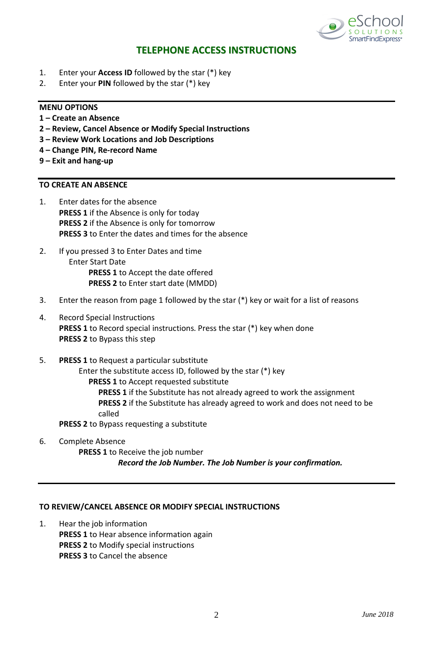

## **TELEPHONE ACCESS INSTRUCTIONS**

- 1. Enter your **Access ID** followed by the star (\*) key
- 2. Enter your **PIN** followed by the star (\*) key

#### **MENU OPTIONS**

- **1 – Create an Absence**
- **2 – Review, Cancel Absence or Modify Special Instructions**
- **3 – Review Work Locations and Job Descriptions**
- **4 – Change PIN, Re-record Name**
- **9 – Exit and hang-up**

# **TO CREATE AN ABSENCE**

- 1. Enter dates for the absence **PRESS 1** if the Absence is only for today **PRESS 2** if the Absence is only for tomorrow **PRESS 3** to Enter the dates and times for the absence
- 2. If you pressed 3 to Enter Dates and time Enter Start Date **PRESS 1** to Accept the date offered **PRESS 2** to Enter start date (MMDD)
- 3. Enter the reason from page 1 followed by the star (\*) key or wait for a list of reasons
- 4. Record Special Instructions **PRESS 1** to Record special instructions*.* Press the star (\*) key when done **PRESS 2** to Bypass this step
- 5. **PRESS 1** to Request a particular substitute

Enter the substitute access ID, followed by the star (\*) key **PRESS 1** to Accept requested substitute **PRESS 1** if the Substitute has not already agreed to work the assignment **PRESS 2** if the Substitute has already agreed to work and does not need to be

called

**PRESS 2** to Bypass requesting a substitute

6. Complete Absence **PRESS 1** to Receive the job number *Record the Job Number. The Job Number is your confirmation.*

#### **TO REVIEW/CANCEL ABSENCE OR MODIFY SPECIAL INSTRUCTIONS**

1. Hear the job information **PRESS 1** to Hear absence information again **PRESS 2** to Modify special instructions  **PRESS 3** to Cancel the absence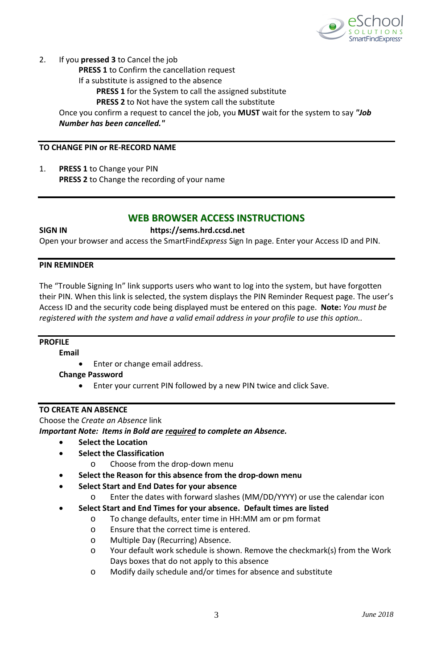

2. If you **pressed 3** to Cancel the job

**PRESS 1** to Confirm the cancellation request

If a substitute is assigned to the absence

**PRESS 1** for the System to call the assigned substitute

**PRESS 2** to Not have the system call the substitute

Once you confirm a request to cancel the job, you **MUST** wait for the system to say *"Job Number has been cancelled."*

## **TO CHANGE PIN or RE-RECORD NAME**

1. **PRESS 1** to Change your PIN **PRESS 2** to Change the recording of your name

## **WEB BROWSER ACCESS INSTRUCTIONS**

## **SIGN IN https://sems.hrd.ccsd.net**

Open your browser and access the SmartFind*Express* Sign In page. Enter your Access ID and PIN.

## **PIN REMINDER**

The "Trouble Signing In" link supports users who want to log into the system, but have forgotten their PIN. When this link is selected, the system displays the PIN Reminder Request page. The user's Access ID and the security code being displayed must be entered on this page. **Note:** *You must be registered with the system and have a valid email address in your profile to use this option..*

## **PROFILE**

**Email**

Enter or change email address.

**Change Password**

• Enter your current PIN followed by a new PIN twice and click Save.

## **TO CREATE AN ABSENCE**

Choose the *Create an Absence* link

### *Important Note: Items in Bold are required to complete an Absence.*

- **Select the Location** 
	- **Select the Classification**
		- o Choose from the drop-down menu
- **Select the Reason for this absence from the drop-down menu**
- **Select Start and End Dates for your absence**
	- o Enter the dates with forward slashes (MM/DD/YYYY) or use the calendar icon

### • **Select Start and End Times for your absence. Default times are listed**

- o To change defaults, enter time in HH:MM am or pm format
- o Ensure that the correct time is entered.
- o Multiple Day (Recurring) Absence.
- o Your default work schedule is shown. Remove the checkmark(s) from the Work Days boxes that do not apply to this absence
- o Modify daily schedule and/or times for absence and substitute